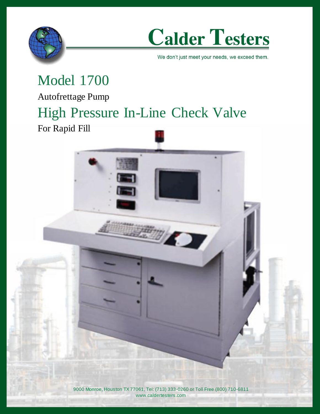



We don't just meet your needs, we exceed them.

### Model 1700 Autofrettage Pump High Pressure In-Line Check Valve

For Rapid Fill

9000 Monroe, Houston TX 77061, Tel: (713) 333-0260 or Toll Free (800) 710-6811 www.caldertesters.com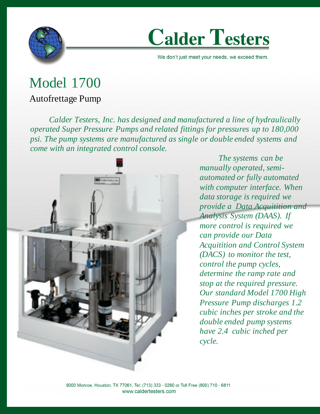

# **Calder Testers**

We don't just meet your needs, we exceed them.

## Model 1700

#### Autofrettage Pump

*Calder Testers, Inc. has designed and manufactured a line of hydraulically operated Super Pressure Pumps and related fittings for pressures up to 180,000 psi. The pump systems are manufactured as single or double ended systems and come with an integrated control console.*



*The systems can be manually operated, semiautomated or fully automated with computer interface. When data storage is required we provide a Data Acquitition and Analysis System (DAAS). If more control is required we can provide our Data Acquitition and Control System (DACS) to monitor the test, control the pump cycles, determine the ramp rate and stop at the required pressure. Our standard Model 1700 High Pressure Pump discharges 1.2 cubic inches per stroke and the double ended pump systems have 2.4 cubic inched per cycle.*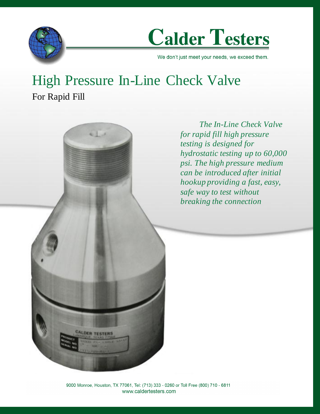

**Calder Testers** 

We don't just meet your needs, we exceed them.

### High Pressure In-Line Check Valve For Rapid Fill

*The In-Line Check Valve for rapid fill high pressure testing is designed for hydrostatic testing up to 60,000 psi. The high pressure medium can be introduced after initial hookup providing a fast, easy, safe way to test without breaking the connection*

9000 Monroe, Houston, TX 77061, Tel: (713) 333 - 0260 or Toll Free (800) 710 - 6811 www.caldertesters.com

**CALDER TESTERS**